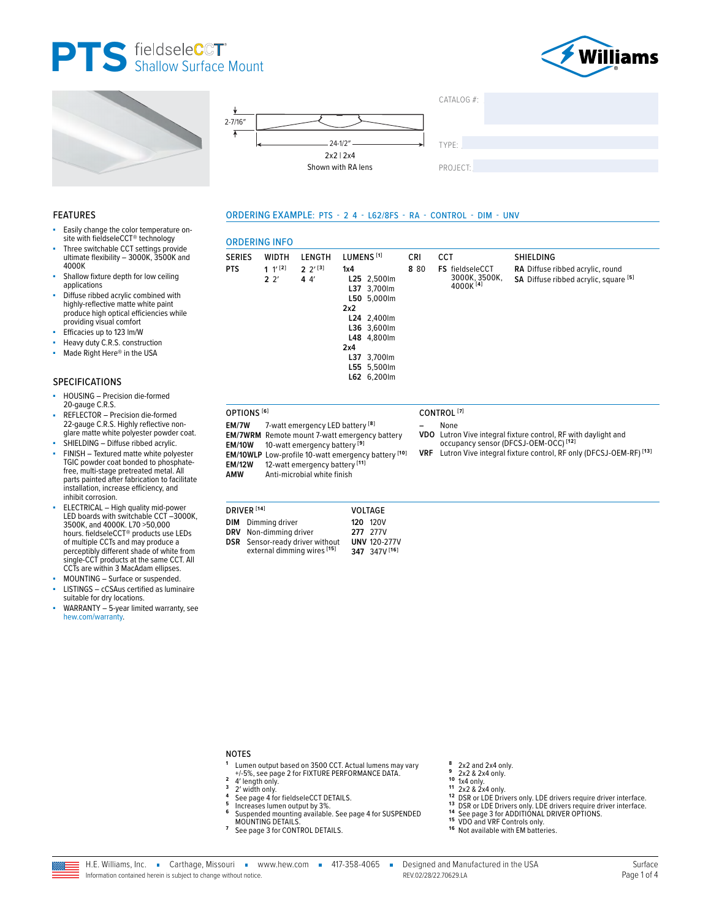







**CRI** 

8 80

**CCT** 

FS fieldseleCCT

3000K, 3500K, 4000K

ORDERING EXAMPLE: PTS - 2 4 - L62/8FS - RA - CONTROL - DIM - UNV

LUMENS<sup>[1]</sup>

L25 2,500lm

L37 3,700lm

L24 2,400lm

L36 3,600lm

L48 4,800lm

L37 3,700lm L55 5,500lm L62 6,200lm

 $5.000 \text{ m}$ 

 $1x4$ 

150

 $2x2$ 

 $2x4$ 

# **FEATURES**

- Easily change the color temperature onsite with fieldseleCCT<sup>®</sup> technology
- Three switchable CCT settings provide ultimate flexibility - 3000K, 3500K and 4000K
- Shallow fixture depth for low ceiling applications
- Diffuse ribbed acrylic combined with highly-reflective matte white paint produce high optical efficiencies while providing visual comfort
- Efficacies up to 123 Im/W
- Heavy duty C.R.S. construction
- Made Right Here® in the USA

#### **SPECIFICATIONS**

- HOUSING Precision die-formed 20-gauge C.R.S.
- REFLECTOR Precision die-formed 22-gauge C.R.S. Highly reflective non-<br>glare matte white polyester powder coat.
- SHIELDING Diffuse ribbed acrylic. FINISH - Textured matte white polyester TGIC powder coat bonded to phosphatefree, multi-stage pretreated metal. All parts painted after fabrication to facilitate
- installation, increase efficiency, and inhibit corrosion. ELECTRICAL - High quality mid-power<br>LED boards with switchable CCT -3000K, 3500K, and 4000K. L70 >50,000 hours. fieldseleCCT® products use LEDs<br>of multiple CCTs and may produce a perceptibly different shade of white from single-CCT products at the same CCT. All CCTs are within 3 MacAdam ellipses.
- MOUNTING Surface or suspended.
- LISTINGS cCSAus certified as luminaire
- suitable for dry locations. WARRANTY - 5-year limited warranty, see hew.com/warranty.

**EM/10WLP** Low-profile 10-watt emergency battery [10]<br>**EM/12W** 12-watt emergency battery [11] Anti-microbial white finish

7-watt emergency LED battery<sup>[8]</sup>

EM/7WRM Remote mount 7-watt emergency battery

10-watt emergency battery<sup>[9]</sup>

DRIVER<sup>[14]</sup> VOLTAGE **DIM** Dimming driver **120 120V** DRV Non-dimming driver 277 277V Sensor-ready driver without<br>external dimming wires [15] **UNV 120-277V DSR** 347 347V [16]

**ORDERING INFO** 

**WIDTH** 

 $1 '$ <sup>[2]</sup>

 $2<sup>2</sup>$ 

LENGTH

 $2 \frac{2^{13}}{3}$ 

 $44'$ 

**SERIES** 

OPTIONS<sup>[6]</sup>

EM/7W

AMW

**FM/10W** 

**PTS** 

- CONTROL<sup>[7]</sup>  $\overline{a}$ 
	- **None**
- VDO Lutron Vive integral fixture control, RF with daylight and<br>occupancy sensor (DFCSJ-OEM-OCC)<sup>[12]</sup>
- **VRF** Lutron Vive integral fixture control, RF only (DFCSJ-OEM-RF)<sup>[13]</sup>

SHIELDING

RA Diffuse ribbed acrylic, round

SA Diffuse ribbed acrylic, square [5]

#### **NOTES**

6

- Lumen output based on 3500 CCT. Actual lumens may vary +/-5%, see page 2 for FIXTURE PERFORMANCE DATA.
- 4' length only.<br>2' width only.  $\mathbf 3$
- $\overline{a}$
- See page 4 for fieldseleCCT DETAILS. 5
- Increases lumen output by 3%.<br>Suspended mounting available. See page 4 for SUSPENDED MOUNTING DETAILS
- $\overline{7}$ See page 3 for CONTROL DETAILS.
- 8 2x2 and 2x4 only.  $\mathbf{g}$
- 2x2 & 2x4 only.  $10$
- $\frac{200}{2}$  and  $\frac{200}{2}$  and  $\frac{200}{2}$  and  $\frac{200}{2}$  and  $\frac{200}{2}$  and  $\frac{200}{2}$  and  $\frac{200}{2}$  and  $\frac{200}{2}$  and  $\frac{200}{2}$  and  $\frac{200}{2}$  and  $\frac{200}{2}$  and  $\frac{200}{2}$  and  $\frac{200}{2}$  and  $\frac{200}{2}$  a 11
	-
- 12 2 2 2 2 2 2 2 1 UNE Drivers only. LDE drivers require driver interface.<br>13 DSR or LDE Drivers only. LDE drivers require driver interface.<br>14 See page 3 for ADDITIONAL DRIVER OPTIONS.
- 
- <sup>15</sup> VDO and VRF Controls only.
- 16 Not available with EM batteries.

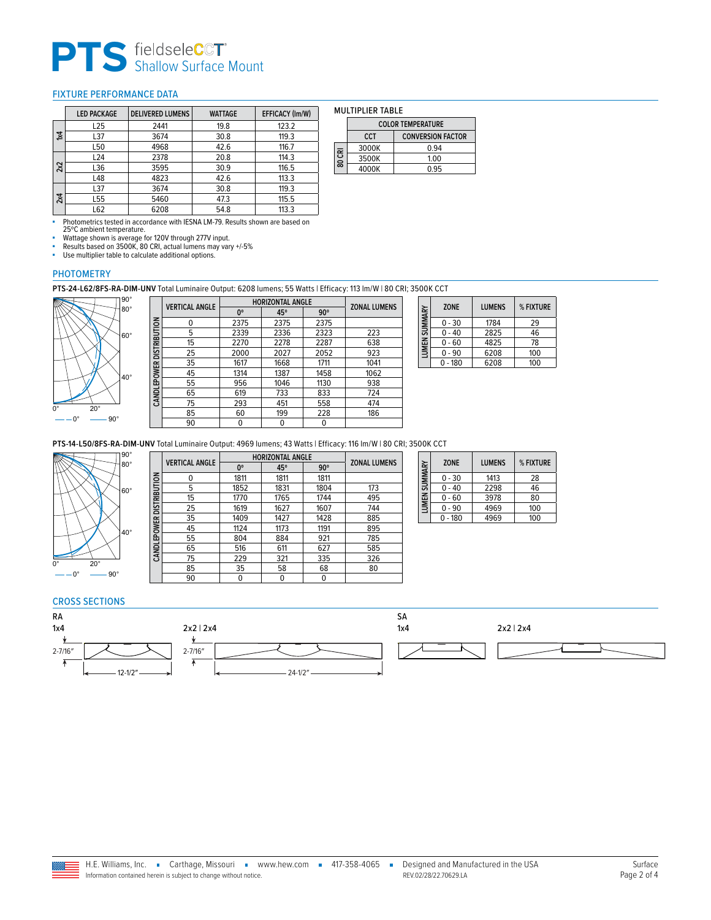# **PTS** Shallow Surface Mount

# <span id="page-1-0"></span>FIXTURE PERFORMANCE DATA

|           | <b>LED PACKAGE</b> | <b>DELIVERED LUMENS</b> | <b>WATTAGE</b> | <b>EFFICACY (Im/W)</b> |
|-----------|--------------------|-------------------------|----------------|------------------------|
|           | L25                | 2441                    | 19.8           | 123.2                  |
| $\approx$ | L37                | 3674                    | 30.8           | 119.3                  |
|           | L50                | 4968                    | 42.6           | 116.7                  |
|           | L24                | 2378                    | 20.8           | 114.3                  |
| 2x2       | L36                | 3595                    | 30.9           | 116.5                  |
|           | L48                | 4823                    | 42.6           | 113.3                  |
|           | L37                | 3674                    | 30.8           | 119.3                  |
| 2x4       | L <sub>55</sub>    | 5460                    | 47.3           | 115.5                  |
|           | L62                | 6208                    | 54.8           | 113.3                  |

| <b>MULTIPLIER TABLE</b> |                      |  |  |  |
|-------------------------|----------------------|--|--|--|
| COLOR TEMPERATURE       |                      |  |  |  |
| CCT                     | <b>CONVERSION F/</b> |  |  |  |
|                         |                      |  |  |  |

|        |            | <b>CULUR TEMPERATURE</b> |  |  |
|--------|------------|--------------------------|--|--|
|        | <b>CCT</b> | <b>CONVERSION FACTOR</b> |  |  |
| 80 CRI | 3000K      | 0.94                     |  |  |
|        | 3500K      | 1.00                     |  |  |
|        | 4000K      | 0.95                     |  |  |

■ Photometrics tested in accordance with IESNA LM-79. Results shown are based on 25ºC ambient temperature.

■ Wattage shown is average for 120V through 277V input.<br>■ Results based on 3500K, 80 CRI, actual lumens may vary +/-5%

• Use multiplier table to calculate additional options.

# PHOTOMETRY

**PTS-24-L62/8FS-RA-DIM-UNV** Total Luminaire Output: 6208 lumens; 55 Watts | Efficacy: 113 lm/W | 80 CRI; 3500K CCT



|                          | <b>VERTICAL ANGLE</b> |      | <b>HORIZONTAL ANGLE</b> |            | <b>ZONAL LUMENS</b> |
|--------------------------|-----------------------|------|-------------------------|------------|---------------------|
|                          |                       | 0°   | 45°                     | $90^\circ$ |                     |
|                          | 0                     | 2375 | 2375                    | 2375       |                     |
|                          | 5                     | 2339 | 2336                    | 2323       | 223                 |
| CANDLEPOWER DISTRIBUTION | 15                    | 2270 | 2278                    | 2287       | 638                 |
|                          | 25                    | 2000 | 2027                    | 2052       | 923                 |
|                          | 35                    | 1617 | 1668                    | 1711       | 1041                |
|                          | 45                    | 1314 | 1387                    | 1458       | 1062                |
|                          | 55                    | 956  | 1046                    | 1130       | 938                 |
|                          | 65                    | 619  | 733                     | 833        | 724                 |
|                          | 75                    | 293  | 451                     | 558        | 474                 |
|                          | 85                    | 60   | 199                     | 228        | 186                 |
|                          | 90                    | 0    | 0                       | 0          |                     |
|                          |                       |      |                         |            |                     |

| LUMEN SUMMARY | <b>ZONE</b> | <b>LUMENS</b> | % FIXTURE |
|---------------|-------------|---------------|-----------|
|               | $0 - 30$    | 1784          | 29        |
|               | $0 - 40$    | 2825          | 46        |
|               | $0 - 60$    | 4825          | 78        |
|               | 0 - 90      | 6208          | 100       |
|               | - 180       | 6208          | 100       |

 $\overline{\phantom{0}}$ 

**PTS-14-L50/8FS-RA-DIM-UNV** Total Luminaire Output: 4969 lumens; 43 Watts | Efficacy: 116 lm/W | 80 CRI; 3500K CCT



|                          | <b>VERTICAL ANGLE</b> | <b>HORIZONTAL ANGLE</b> |      |            | <b>ZONAL LUMENS</b> |  |
|--------------------------|-----------------------|-------------------------|------|------------|---------------------|--|
|                          |                       | 0°                      | 45°  | $90^\circ$ |                     |  |
|                          | $\Omega$              | 1811                    | 1811 | 1811       |                     |  |
|                          | 5                     | 1852                    | 1831 | 1804       | 173                 |  |
| CANDLEPOWER DISTRIBUTION | 15                    | 1770                    | 1765 | 1744       | 495                 |  |
|                          | 25                    | 1619                    | 1627 | 1607       | 744                 |  |
|                          | 35                    | 1409                    | 1427 | 1428       | 885                 |  |
|                          | 45                    | 1124                    | 1173 | 1191       | 895                 |  |
|                          | 55                    | 804                     | 884  | 921        | 785                 |  |
|                          | 65                    | 516                     | 611  | 627        | 585                 |  |
|                          | 75                    | 229                     | 321  | 335        | 326                 |  |
|                          | 85                    | 35                      | 58   | 68         | 80                  |  |
|                          | 90                    | 0                       | 0    | 0          |                     |  |

| LUMEN SUMMARY | <b>ZONE</b> | <b>LUMENS</b> | % FIXTURE |
|---------------|-------------|---------------|-----------|
|               | $0 - 30$    | 1413          | 28        |
|               | $0 - 40$    | 2298          | 46        |
|               | $0 - 60$    | 3978          | 80        |
|               | $0 - 90$    | 4969          | 100       |
|               | $0 - 180$   | 4969          | 100       |

#### CROSS SECTIONS



Ī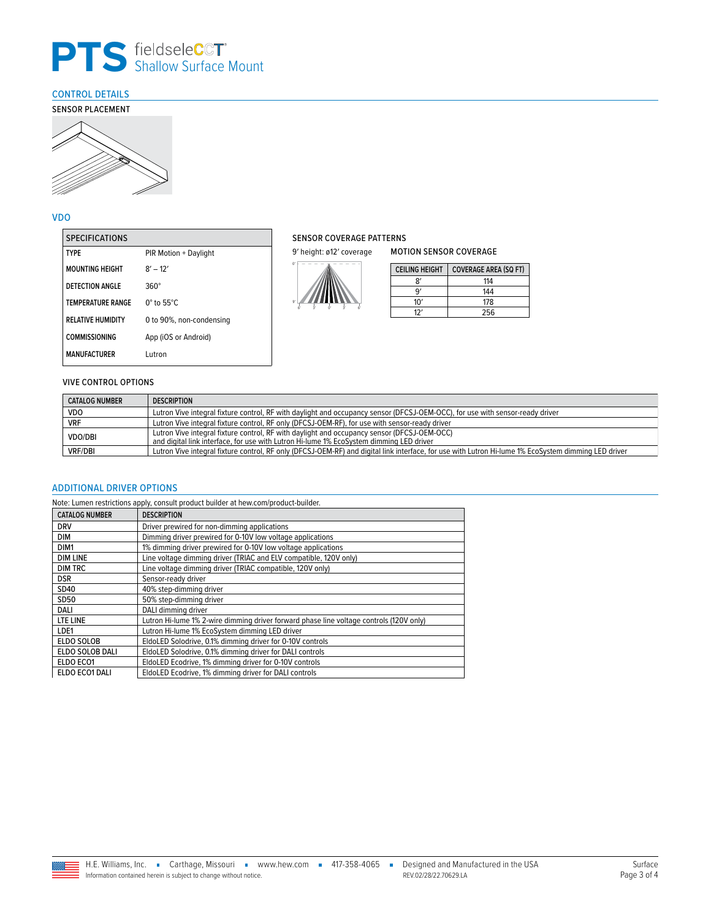

# <span id="page-2-0"></span>CONTROL DETAILS



# VDO

| <b>SPECIFICATIONS</b>    |                             |
|--------------------------|-----------------------------|
| <b>TYPF</b>              | PIR Motion + Daylight       |
| <b>MOUNTING HEIGHT</b>   | $8' - 12'$                  |
| DETECTION ANGLE          | $360^\circ$                 |
| <b>TEMPERATURE RANGE</b> | $0^\circ$ to 55 $^\circ$ C. |
| <b>RELATIVE HUMIDITY</b> | 0 to 90%, non-condensing    |
| COMMISSIONING            | App (iOS or Android)        |
| <b>MANUFACTURER</b>      | Lutron                      |

# SENSOR COVERAGE PATTERNS

9' height: ø12' coverage



| <b>CEILING HEIGHT</b> | <b>COVERAGE AREA (SQ FT)</b> |
|-----------------------|------------------------------|
| 8'                    | 114                          |
| q'                    | 144                          |
| 10'                   | 178                          |
| 12'                   | 256                          |

MOTION SENSOR COVERAGE

#### VIVE CONTROL OPTIONS

| <b>CATALOG NUMBER</b> | <b>DESCRIPTION</b>                                                                                                                                                                     |  |
|-----------------------|----------------------------------------------------------------------------------------------------------------------------------------------------------------------------------------|--|
| <b>VDO</b>            | Lutron Vive integral fixture control, RF with daylight and occupancy sensor (DFCSJ-OEM-OCC), for use with sensor-ready driver                                                          |  |
| <b>VRF</b>            | Lutron Vive integral fixture control, RF only (DFCSJ-OEM-RF), for use with sensor-ready driver                                                                                         |  |
| <b>VDO/DBI</b>        | Lutron Vive integral fixture control, RF with daylight and occupancy sensor (DFCSJ-OEM-OCC)<br>and digital link interface, for use with Lutron Hi-lume 1% EcoSystem dimming LED driver |  |
| <b>VRF/DBI</b>        | Lutron Vive integral fixture control, RF only (DFCSJ-OEM-RF) and digital link interface, for use with Lutron Hi-lume 1% EcoSystem dimming LED driver                                   |  |

#### <span id="page-2-1"></span>ADDITIONAL DRIVER OPTIONS

Note: Lumen restrictions apply, consult product builder at hew.com/product-builder.

| <b>CATALOG NUMBER</b> | <b>DESCRIPTION</b>                                                                      |
|-----------------------|-----------------------------------------------------------------------------------------|
| <b>DRV</b>            | Driver prewired for non-dimming applications                                            |
| <b>DIM</b>            | Dimming driver prewired for 0-10V low voltage applications                              |
| DIM1                  | 1% dimming driver prewired for 0-10V low voltage applications                           |
| <b>DIM LINE</b>       | Line voltage dimming driver (TRIAC and ELV compatible, 120V only)                       |
| <b>DIM TRC</b>        | Line voltage dimming driver (TRIAC compatible, 120V only)                               |
| <b>DSR</b>            | Sensor-ready driver                                                                     |
| SD40                  | 40% step-dimming driver                                                                 |
| SD50                  | 50% step-dimming driver                                                                 |
| DALI                  | DALI dimming driver                                                                     |
| LTE LINE              | Lutron Hi-lume 1% 2-wire dimming driver forward phase line voltage controls (120V only) |
| LDE1                  | Lutron Hi-lume 1% EcoSystem dimming LED driver                                          |
| <b>ELDO SOLOB</b>     | EldoLED Solodrive, 0.1% dimming driver for 0-10V controls                               |
| ELDO SOLOB DALI       | EldoLED Solodrive, 0.1% dimming driver for DALI controls                                |
| ELDO ECO1             | EldoLED Ecodrive, 1% dimming driver for 0-10V controls                                  |
| ELDO ECO1 DALI        | EldoLED Ecodrive, 1% dimming driver for DALI controls                                   |